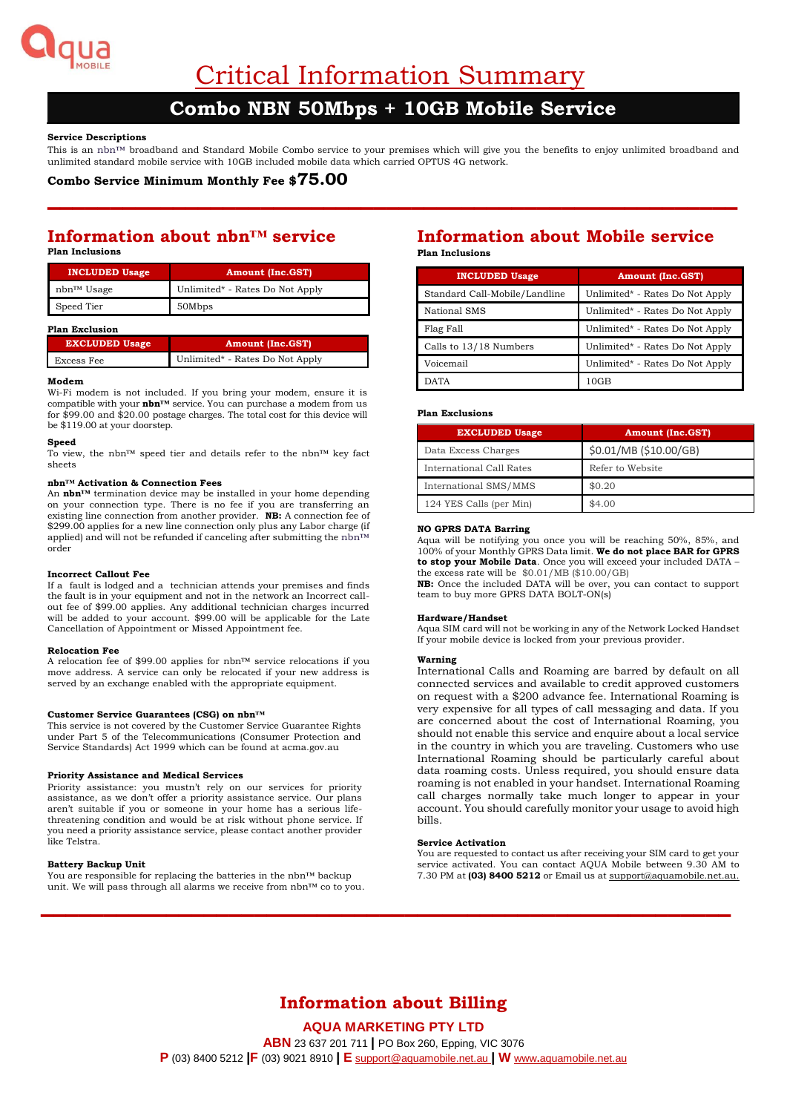

Critical Information Summary

# **Combo NBN 50Mbps + 10GB Mobile Service**

## **Service Descriptions**

This is an nbn™ broadband and Standard Mobile Combo service to your premises which will give you the benefits to enjoy unlimited broadband and unlimited standard mobile service with 10GB included mobile data which carried OPTUS 4G network.

**–––––––––––––––––––––––––––––––––––––––––––––––––––––––**

## **Combo Service Minimum Monthly Fee \$75.00**

## **Information about nbn™ service Plan Inclusions**

| <b>INCLUDED Usage</b> | <b>Amount (Inc.GST)</b>         |
|-----------------------|---------------------------------|
| nbn™ Usage            | Unlimited* - Rates Do Not Apply |
| Speed Tier            | 50Mbps                          |

#### **Plan Exclusion**

| <b>EXCLUDED Usage</b> | <b>Amount (Inc.GST)</b>         |
|-----------------------|---------------------------------|
| Excess Fee            | Unlimited* - Rates Do Not Apply |

#### **Modem**

Wi-Fi modem is not included. If you bring your modem, ensure it is compatible with your **nbn™** service. You can purchase a modem from us for \$99.00 and \$20.00 postage charges. The total cost for this device will be \$119.00 at your doorstep.

#### **Speed**

To view, the nbn™ speed tier and details refer to the nbn™ key fact sheets

#### **nbn™ Activation & Connection Fees**

An **nbn™** termination device may be installed in your home depending on your connection type. There is no fee if you are transferring an existing line connection from another provider. **NB:** A connection fee of \$299.00 applies for a new line connection only plus any Labor charge (if applied) and will not be refunded if canceling after submitting the nbn™ order

#### **Incorrect Callout Fee**

If a fault is lodged and a technician attends your premises and finds the fault is in your equipment and not in the network an Incorrect callout fee of \$99.00 applies. Any additional technician charges incurred will be added to your account. \$99.00 will be applicable for the Late Cancellation of Appointment or Missed Appointment fee.

#### **Relocation Fee**

A relocation fee of \$99.00 applies for nbn™ service relocations if you move address. A service can only be relocated if your new address is served by an exchange enabled with the appropriate equipment.

#### **Customer Service Guarantees (CSG) on nbn™**

This service is not covered by the Customer Service Guarantee Rights under Part 5 of the Telecommunications (Consumer Protection and Service Standards) Act 1999 which can be found at acma.gov.au

## **Priority Assistance and Medical Services**

Priority assistance: you mustn't rely on our services for priority assistance, as we don't offer a priority assistance service. Our plans aren't suitable if you or someone in your home has a serious lifethreatening condition and would be at risk without phone service. If you need a priority assistance service, please contact another provider like Telstra.

#### **Battery Backup Unit**

You are responsible for replacing the batteries in the nbn™ backup unit. We will pass through all alarms we receive from nbn™ co to you.

## **Information about Mobile service Plan Inclusions**

| <b>INCLUDED Usage</b>         | <b>Amount (Inc.GST)</b>         |  |
|-------------------------------|---------------------------------|--|
| Standard Call-Mobile/Landline | Unlimited* - Rates Do Not Apply |  |
| National SMS                  | Unlimited* - Rates Do Not Apply |  |
| Flag Fall                     | Unlimited* - Rates Do Not Apply |  |
| Calls to 13/18 Numbers        | Unlimited* - Rates Do Not Apply |  |
| Voicemail                     | Unlimited* - Rates Do Not Apply |  |
| DATA                          | 10GB                            |  |

#### **Plan Exclusions**

| <b>EXCLUDED Usage</b>    | <b>Amount (Inc.GST)</b> |
|--------------------------|-------------------------|
| Data Excess Charges      | \$0.01/MB (\$10.00/GB)  |
| International Call Rates | Refer to Website        |
| International SMS/MMS    | \$0.20                  |
| 124 YES Calls (per Min)  | \$4.00                  |

## **NO GPRS DATA Barring**

Aqua will be notifying you once you will be reaching 50%, 85%, and 100% of your Monthly GPRS Data limit. **We do not place BAR for GPRS to stop your Mobile Data**. Once you will exceed your included DATA – the excess rate will be  $$0.01/MB$$  (\$10.00/GB)

**NB:** Once the included DATA will be over, you can contact to support team to buy more GPRS DATA BOLT-ON(s)

#### **Hardware/Handset**

Aqua SIM card will not be working in any of the Network Locked Handset If your mobile device is locked from your previous provider.

#### **Warning**

International Calls and Roaming are barred by default on all connected services and available to credit approved customers on request with a \$200 advance fee. International Roaming is very expensive for all types of call messaging and data. If you are concerned about the cost of International Roaming, you should not enable this service and enquire about a local service in the country in which you are traveling. Customers who use International Roaming should be particularly careful about data roaming costs. Unless required, you should ensure data roaming is not enabled in your handset. International Roaming call charges normally take much longer to appear in your account. You should carefully monitor your usage to avoid high bills.

#### **Service Activation**

You are requested to contact us after receiving your SIM card to get your service activated. You can contact AQUA Mobile between 9.30 AM to 7.30 PM at **(03) 8400 5212** or Email us a[t support@aquamobile.net.au.](mailto:support@aquamobile.net.au)

# **Information about Billing**

**–––––––––––––––––––––––––––––––––––––––––––––––––––––––**

## **AQUA MARKETING PTY LTD**

**ABN** 23 637 201 711 **|** PO Box 260, Epping, VIC 3076 **P** (03) 8400 5212 **|F** (03) 9021 8910 **| E** [support@aquamobile.net.au](mailto:support@aquamobile.net.au) **| W** www**.**[aquamobile.net.au](http://www.aquamobile.net.au/)